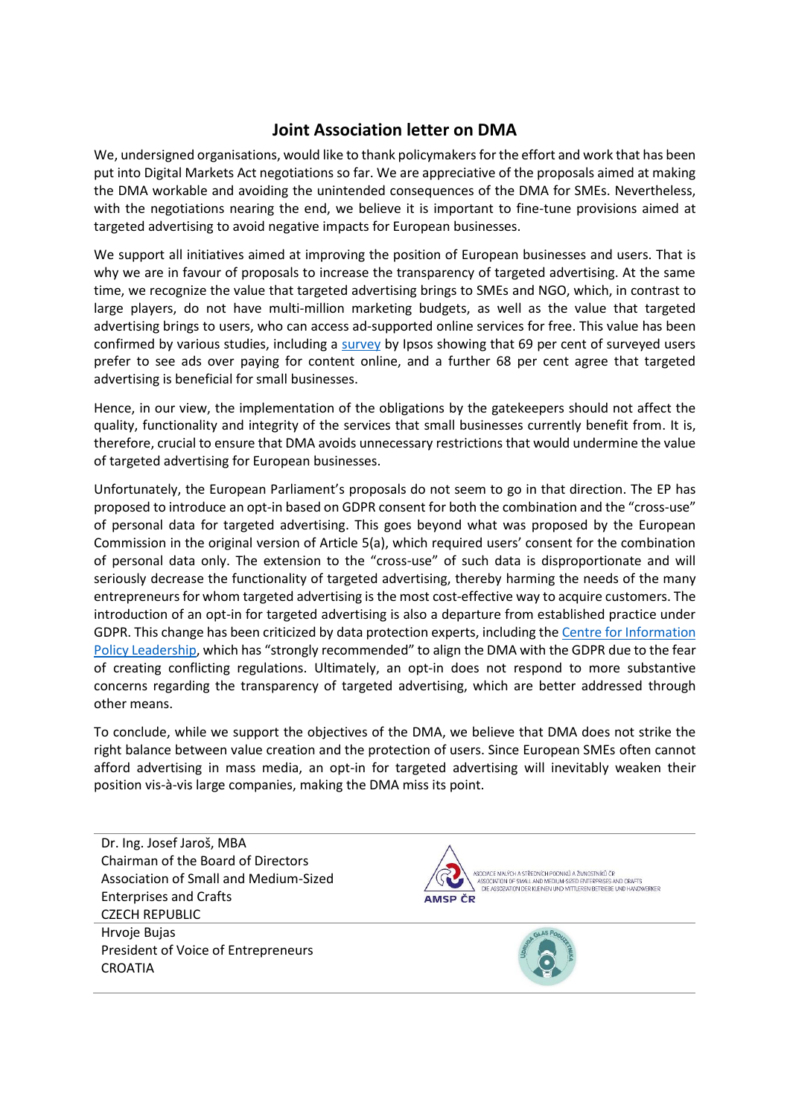## **Joint Association letter on DMA**

We, undersigned organisations, would like to thank policymakers for the effort and work that has been put into Digital Markets Act negotiations so far. We are appreciative of the proposals aimed at making the DMA workable and avoiding the unintended consequences of the DMA for SMEs. Nevertheless, with the negotiations nearing the end, we believe it is important to fine-tune provisions aimed at targeted advertising to avoid negative impacts for European businesses.

We support all initiatives aimed at improving the position of European businesses and users. That is why we are in favour of proposals to increase the transparency of targeted advertising. At the same time, we recognize the value that targeted advertising brings to SMEs and NGO, which, in contrast to large players, do not have multi-million marketing budgets, as well as the value that targeted advertising brings to users, who can access ad-supported online services for free. This value has been confirmed by various studies, including a [survey](https://www.ipsos.com/en-us/news-polls/ipsos-consumer-online-survey) by Ipsos showing that 69 per cent of surveyed users prefer to see ads over paying for content online, and a further 68 per cent agree that targeted advertising is beneficial for small businesses.

Hence, in our view, the implementation of the obligations by the gatekeepers should not affect the quality, functionality and integrity of the services that small businesses currently benefit from. It is, therefore, crucial to ensure that DMA avoids unnecessary restrictions that would undermine the value of targeted advertising for European businesses.

Unfortunately, the European Parliament's proposals do not seem to go in that direction. The EP has proposed to introduce an opt-in based on GDPR consent for both the combination and the "cross-use" of personal data for targeted advertising. This goes beyond what was proposed by the European Commission in the original version of Article 5(a), which required users' consent for the combination of personal data only. The extension to the "cross-use" of such data is disproportionate and will seriously decrease the functionality of targeted advertising, thereby harming the needs of the many entrepreneurs for whom targeted advertising is the most cost-effective way to acquire customers. The introduction of an opt-in for targeted advertising is also a departure from established practice under GDPR. This change has been criticized by data protection experts, including th[e Centre for Information](https://www.informationpolicycentre.com/uploads/5/7/1/0/57104281/cipl_comments_on_the_data_protection_implications_of_the_draft_digital_markets_act__6_dec_2021_.pdf)  [Policy Leadership](https://www.informationpolicycentre.com/uploads/5/7/1/0/57104281/cipl_comments_on_the_data_protection_implications_of_the_draft_digital_markets_act__6_dec_2021_.pdf), which has "strongly recommended" to align the DMA with the GDPR due to the fear of creating conflicting regulations. Ultimately, an opt-in does not respond to more substantive concerns regarding the transparency of targeted advertising, which are better addressed through other means.

To conclude, while we support the objectives of the DMA, we believe that DMA does not strike the right balance between value creation and the protection of users. Since European SMEs often cannot afford advertising in mass media, an opt-in for targeted advertising will inevitably weaken their position vis-à-vis large companies, making the DMA miss its point.

Dr. Ing. Josef Jaroš, MBA Chairman of the Board of Directors Association of Small and Medium-Sized Enterprises and Crafts CZECH REPUBLIC Hrvoje Bujas President of Voice of Entrepreneurs **CROATIA** 



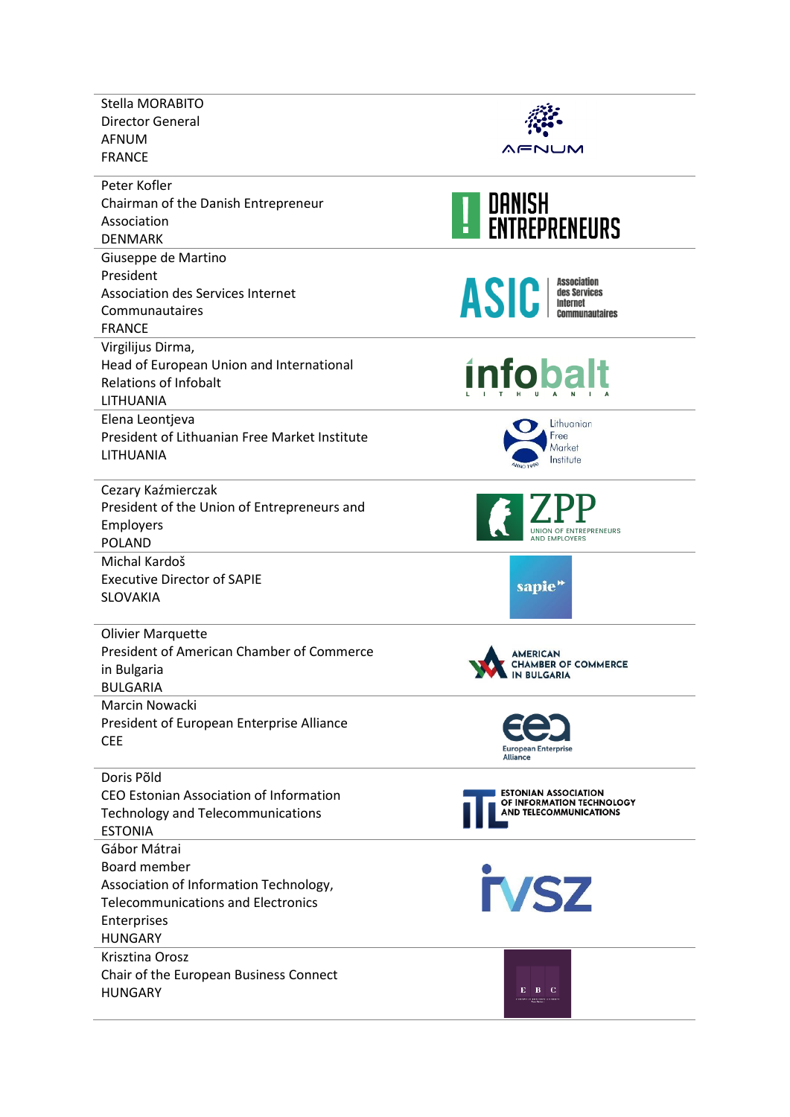| Stella MORABITO<br><b>Director General</b><br><b>AFNUM</b>                                                                                           |                                                                                           |
|------------------------------------------------------------------------------------------------------------------------------------------------------|-------------------------------------------------------------------------------------------|
| <b>FRANCE</b>                                                                                                                                        | WENUM                                                                                     |
| Peter Kofler<br>Chairman of the Danish Entrepreneur<br>Association<br><b>DENMARK</b>                                                                 | <b>DANISH<br/>ENTREPRENEURS</b>                                                           |
| Giuseppe de Martino<br>President<br><b>Association des Services Internet</b><br>Communautaires<br><b>FRANCE</b>                                      | <b>Association</b><br>$\text{ASIC}$ des Services                                          |
| Virgilijus Dirma,<br>Head of European Union and International<br><b>Relations of Infobalt</b><br>LITHUANIA                                           | <b>infobalt</b>                                                                           |
| Elena Leontjeva<br>President of Lithuanian Free Market Institute<br>LITHUANIA                                                                        | Lithuanian<br>Free<br>Market<br>Institute                                                 |
| Cezary Kaźmierczak<br>President of the Union of Entrepreneurs and<br>Employers<br><b>POLAND</b>                                                      | <b>UNION OF ENTREPRENEURS</b>                                                             |
| Michal Kardoš<br><b>Executive Director of SAPIE</b><br><b>SLOVAKIA</b>                                                                               | sapie"                                                                                    |
| <b>Olivier Marquette</b><br>President of American Chamber of Commerce<br>in Bulgaria<br><b>BULGARIA</b>                                              | <b>MERICAN</b><br><b>CHAMBER OF COMMERCE</b><br><b>IN BULGARIA</b>                        |
| Marcin Nowacki<br>President of European Enterprise Alliance<br><b>CEE</b>                                                                            | <b>European Enterprise</b><br><b>Alliance</b>                                             |
| Doris Põld<br>CEO Estonian Association of Information<br><b>Technology and Telecommunications</b><br><b>ESTONIA</b>                                  | <b>ESTONIAN ASSOCIATION</b><br>OF INFORMATION TECHNOLOGY<br><b>AND TELECOMMUNICATIONS</b> |
| Gábor Mátrai<br>Board member<br>Association of Information Technology,<br><b>Telecommunications and Electronics</b><br>Enterprises<br><b>HUNGARY</b> | <b>TVSZ</b>                                                                               |
| Krisztina Orosz<br>Chair of the European Business Connect<br><b>HUNGARY</b>                                                                          | E B C                                                                                     |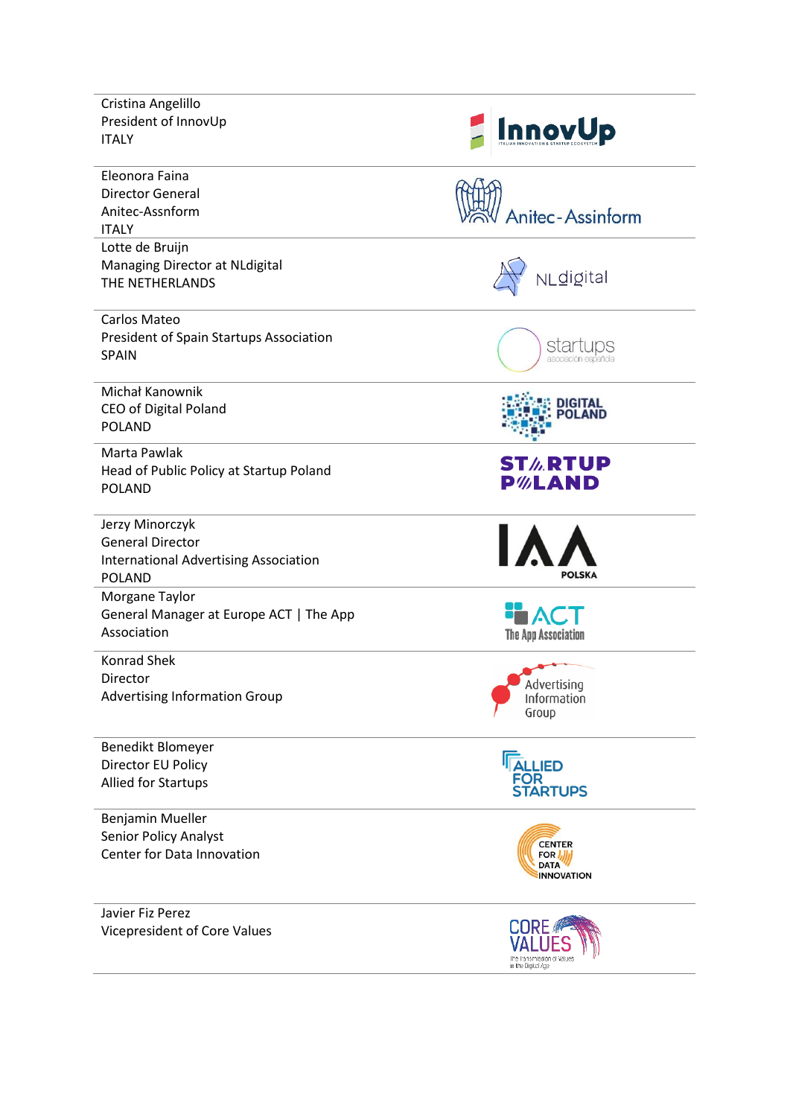| Cristina Angelillo<br>President of InnovUp<br><b>ITALY</b>                                                  | <b>InnovUp</b>                                                    |
|-------------------------------------------------------------------------------------------------------------|-------------------------------------------------------------------|
| Eleonora Faina<br><b>Director General</b><br>Anitec-Assnform<br><b>ITALY</b>                                | Anitec-Assinform                                                  |
| Lotte de Bruijn<br>Managing Director at NLdigital<br>THE NETHERLANDS                                        | NLdigital                                                         |
| Carlos Mateo<br><b>President of Spain Startups Association</b><br><b>SPAIN</b>                              | startups<br>asociación española                                   |
| Michał Kanownik<br><b>CEO of Digital Poland</b><br><b>POLAND</b>                                            | <b>DIGITAL<br/>POLAND</b>                                         |
| Marta Pawlak<br>Head of Public Policy at Startup Poland<br><b>POLAND</b>                                    | <b>ST<i>l</i></b> .RTUP<br><b>P</b> %LAND                         |
| Jerzy Minorczyk<br><b>General Director</b><br><b>International Advertising Association</b><br><b>POLAND</b> | POLSKA                                                            |
| Morgane Taylor<br>General Manager at Europe ACT   The App<br>Association                                    | ۱ΑΟ<br><b>The App Association</b>                                 |
| <b>Konrad Shek</b><br>Director<br><b>Advertising Information Group</b>                                      | Advertising<br>Information<br>Group                               |
| Benedikt Blomeyer<br>Director EU Policy<br><b>Allied for Startups</b>                                       | <b>ALLIED</b><br>FOR<br><b>STARTUPS</b>                           |
| Benjamin Mueller<br><b>Senior Policy Analyst</b><br>Center for Data Innovation                              | <b>CENTER</b><br>FOR <i>I</i><br><b>DATA</b><br><b>INNOVATION</b> |
| Javier Fiz Perez<br>Vicepresident of Core Values                                                            | CORE<br>the transmission of Value<br>in the Digital Age           |